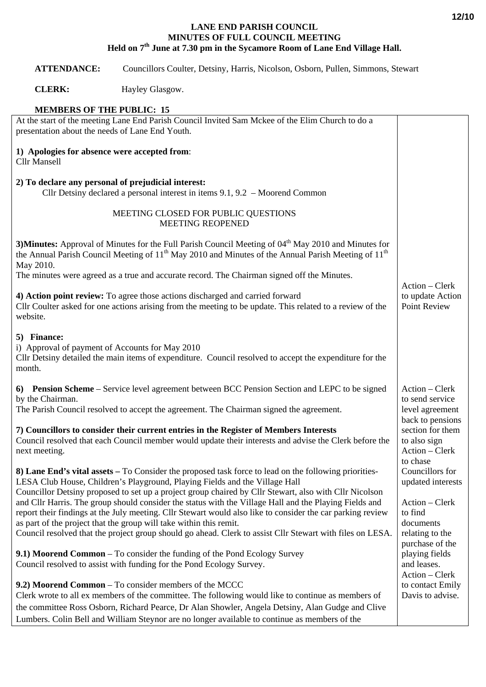## **LANE END PARISH COUNCIL MINUTES OF FULL COUNCIL MEETING Held on 7th June at 7.30 pm in the Sycamore Room of Lane End Village Hall.**

## **ATTENDANCE:** Councillors Coulter, Detsiny, Harris, Nicolson, Osborn, Pullen, Simmons, Stewart

**CLERK:** Hayley Glasgow.

## **MEMBERS OF THE PUBLIC: 15**

| At the start of the meeting Lane End Parish Council Invited Sam Mckee of the Elim Church to do a<br>presentation about the needs of Lane End Youth.                                                                                                                                                                                                                                                                                                                                                                                                                                                                                                                                                       |                                                                                                                      |
|-----------------------------------------------------------------------------------------------------------------------------------------------------------------------------------------------------------------------------------------------------------------------------------------------------------------------------------------------------------------------------------------------------------------------------------------------------------------------------------------------------------------------------------------------------------------------------------------------------------------------------------------------------------------------------------------------------------|----------------------------------------------------------------------------------------------------------------------|
| 1) Apologies for absence were accepted from:<br><b>Cllr Mansell</b>                                                                                                                                                                                                                                                                                                                                                                                                                                                                                                                                                                                                                                       |                                                                                                                      |
| 2) To declare any personal of prejudicial interest:<br>Cllr Detsiny declared a personal interest in items 9.1, 9.2 – Moorend Common                                                                                                                                                                                                                                                                                                                                                                                                                                                                                                                                                                       |                                                                                                                      |
| MEETING CLOSED FOR PUBLIC QUESTIONS<br><b>MEETING REOPENED</b>                                                                                                                                                                                                                                                                                                                                                                                                                                                                                                                                                                                                                                            |                                                                                                                      |
| 3) Minutes: Approval of Minutes for the Full Parish Council Meeting of 04 <sup>th</sup> May 2010 and Minutes for<br>the Annual Parish Council Meeting of $11th$ May 2010 and Minutes of the Annual Parish Meeting of $11th$<br>May 2010.                                                                                                                                                                                                                                                                                                                                                                                                                                                                  |                                                                                                                      |
| The minutes were agreed as a true and accurate record. The Chairman signed off the Minutes.                                                                                                                                                                                                                                                                                                                                                                                                                                                                                                                                                                                                               |                                                                                                                      |
| 4) Action point review: To agree those actions discharged and carried forward<br>Cllr Coulter asked for one actions arising from the meeting to be update. This related to a review of the<br>website.                                                                                                                                                                                                                                                                                                                                                                                                                                                                                                    | Action - Clerk<br>to update Action<br>Point Review                                                                   |
| 5) Finance:<br>i) Approval of payment of Accounts for May 2010<br>Cllr Detsiny detailed the main items of expenditure. Council resolved to accept the expenditure for the<br>month.                                                                                                                                                                                                                                                                                                                                                                                                                                                                                                                       |                                                                                                                      |
| 6) Pension Scheme – Service level agreement between BCC Pension Section and LEPC to be signed<br>by the Chairman.<br>The Parish Council resolved to accept the agreement. The Chairman signed the agreement.                                                                                                                                                                                                                                                                                                                                                                                                                                                                                              | Action - Clerk<br>to send service<br>level agreement                                                                 |
| 7) Councillors to consider their current entries in the Register of Members Interests<br>Council resolved that each Council member would update their interests and advise the Clerk before the<br>next meeting.                                                                                                                                                                                                                                                                                                                                                                                                                                                                                          | back to pensions<br>section for them<br>to also sign<br>Action - Clerk<br>to chase                                   |
| 8) Lane End's vital assets – To Consider the proposed task force to lead on the following priorities-<br>LESA Club House, Children's Playground, Playing Fields and the Village Hall<br>Councillor Detsiny proposed to set up a project group chaired by Cllr Stewart, also with Cllr Nicolson<br>and Cllr Harris. The group should consider the status with the Village Hall and the Playing Fields and<br>report their findings at the July meeting. Cllr Stewart would also like to consider the car parking review<br>as part of the project that the group will take within this remit.<br>Council resolved that the project group should go ahead. Clerk to assist Cllr Stewart with files on LESA. | Councillors for<br>updated interests<br>Action - Clerk<br>to find<br>documents<br>relating to the<br>purchase of the |
| 9.1) Moorend Common – To consider the funding of the Pond Ecology Survey<br>Council resolved to assist with funding for the Pond Ecology Survey.                                                                                                                                                                                                                                                                                                                                                                                                                                                                                                                                                          | playing fields<br>and leases.<br>Action - Clerk                                                                      |
| 9.2) Moorend Common – To consider members of the MCCC<br>Clerk wrote to all ex members of the committee. The following would like to continue as members of<br>the committee Ross Osborn, Richard Pearce, Dr Alan Showler, Angela Detsiny, Alan Gudge and Clive<br>Lumbers. Colin Bell and William Steynor are no longer available to continue as members of the                                                                                                                                                                                                                                                                                                                                          | to contact Emily<br>Davis to advise.                                                                                 |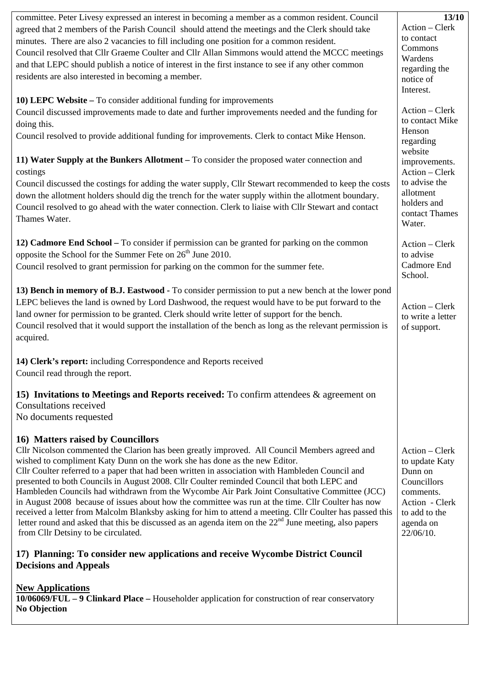| committee. Peter Livesy expressed an interest in becoming a member as a common resident. Council           | 13/10             |
|------------------------------------------------------------------------------------------------------------|-------------------|
| agreed that 2 members of the Parish Council should attend the meetings and the Clerk should take           | Action - Clerk    |
| minutes. There are also 2 vacancies to fill including one position for a common resident.                  | to contact        |
| Council resolved that Cllr Graeme Coulter and Cllr Allan Simmons would attend the MCCC meetings            | Commons           |
| and that LEPC should publish a notice of interest in the first instance to see if any other common         | Wardens           |
| residents are also interested in becoming a member.                                                        | regarding the     |
|                                                                                                            | notice of         |
|                                                                                                            | Interest.         |
| 10) LEPC Website – To consider additional funding for improvements                                         | Action - Clerk    |
| Council discussed improvements made to date and further improvements needed and the funding for            | to contact Mike   |
| doing this.                                                                                                | Henson            |
| Council resolved to provide additional funding for improvements. Clerk to contact Mike Henson.             | regarding         |
|                                                                                                            | website           |
| 11) Water Supply at the Bunkers Allotment - To consider the proposed water connection and                  | improvements.     |
| costings                                                                                                   | Action - Clerk    |
| Council discussed the costings for adding the water supply, Cllr Stewart recommended to keep the costs     | to advise the     |
| down the allotment holders should dig the trench for the water supply within the allotment boundary.       | allotment         |
| Council resolved to go ahead with the water connection. Clerk to liaise with Cllr Stewart and contact      | holders and       |
| Thames Water.                                                                                              | contact Thames    |
|                                                                                                            | Water.            |
| 12) Cadmore End School - To consider if permission can be granted for parking on the common                | Action - Clerk    |
| opposite the School for the Summer Fete on 26 <sup>th</sup> June 2010.                                     | to advise         |
| Council resolved to grant permission for parking on the common for the summer fete.                        | Cadmore End       |
|                                                                                                            | School.           |
|                                                                                                            |                   |
| 13) Bench in memory of B.J. Eastwood - To consider permission to put a new bench at the lower pond         |                   |
| LEPC believes the land is owned by Lord Dashwood, the request would have to be put forward to the          | Action - Clerk    |
| land owner for permission to be granted. Clerk should write letter of support for the bench.               | to write a letter |
| Council resolved that it would support the installation of the bench as long as the relevant permission is | of support.       |
| acquired.                                                                                                  |                   |
|                                                                                                            |                   |
| 14) Clerk's report: including Correspondence and Reports received                                          |                   |
| Council read through the report.                                                                           |                   |
| 15) Invitations to Meetings and Reports received: To confirm attendees & agreement on                      |                   |
| <b>Consultations received</b>                                                                              |                   |
| No documents requested                                                                                     |                   |
|                                                                                                            |                   |
| 16) Matters raised by Councillors                                                                          |                   |
| Cllr Nicolson commented the Clarion has been greatly improved. All Council Members agreed and              | Action – Clerk    |
| wished to compliment Katy Dunn on the work she has done as the new Editor.                                 | to update Katy    |
| Cllr Coulter referred to a paper that had been written in association with Hambleden Council and           | Dunn on           |
| presented to both Councils in August 2008. Cllr Coulter reminded Council that both LEPC and                | Councillors       |
| Hambleden Councils had withdrawn from the Wycombe Air Park Joint Consultative Committee (JCC)              | comments.         |
| in August 2008 because of issues about how the committee was run at the time. Cllr Coulter has now         | Action - Clerk    |
| received a letter from Malcolm Blanksby asking for him to attend a meeting. Cllr Coulter has passed this   | to add to the     |
| letter round and asked that this be discussed as an agenda item on the $22nd$ June meeting, also papers    | agenda on         |
| from Cllr Detsiny to be circulated.                                                                        | 22/06/10.         |
| 17) Planning: To consider new applications and receive Wycombe District Council                            |                   |
| <b>Decisions and Appeals</b>                                                                               |                   |
|                                                                                                            |                   |
| <b>New Applications</b>                                                                                    |                   |
| $10/06069/FUL - 9$ Clinkard Place – Householder application for construction of rear conservatory          |                   |
| <b>No Objection</b>                                                                                        |                   |